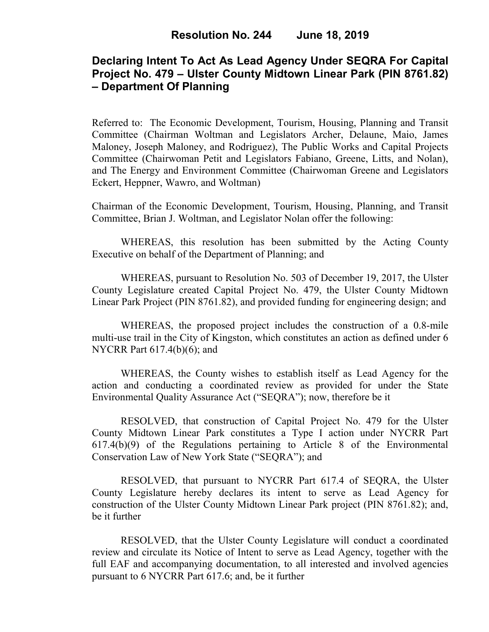## **Declaring Intent To Act As Lead Agency Under SEQRA For Capital Project No. 479 – Ulster County Midtown Linear Park (PIN 8761.82) – Department Of Planning**

Referred to: The Economic Development, Tourism, Housing, Planning and Transit Committee (Chairman Woltman and Legislators Archer, Delaune, Maio, James Maloney, Joseph Maloney, and Rodriguez), The Public Works and Capital Projects Committee (Chairwoman Petit and Legislators Fabiano, Greene, Litts, and Nolan), and The Energy and Environment Committee (Chairwoman Greene and Legislators Eckert, Heppner, Wawro, and Woltman)

Chairman of the Economic Development, Tourism, Housing, Planning, and Transit Committee, Brian J. Woltman, and Legislator Nolan offer the following:

WHEREAS, this resolution has been submitted by the Acting County Executive on behalf of the Department of Planning; and

WHEREAS, pursuant to Resolution No. 503 of December 19, 2017, the Ulster County Legislature created Capital Project No. 479, the Ulster County Midtown Linear Park Project (PIN 8761.82), and provided funding for engineering design; and

WHEREAS, the proposed project includes the construction of a 0.8-mile multi-use trail in the City of Kingston, which constitutes an action as defined under 6 NYCRR Part 617.4(b)(6); and

WHEREAS, the County wishes to establish itself as Lead Agency for the action and conducting a coordinated review as provided for under the State Environmental Quality Assurance Act ("SEQRA"); now, therefore be it

RESOLVED, that construction of Capital Project No. 479 for the Ulster County Midtown Linear Park constitutes a Type I action under NYCRR Part 617.4(b)(9) of the Regulations pertaining to Article 8 of the Environmental Conservation Law of New York State ("SEQRA"); and

RESOLVED, that pursuant to NYCRR Part 617.4 of SEQRA, the Ulster County Legislature hereby declares its intent to serve as Lead Agency for construction of the Ulster County Midtown Linear Park project (PIN 8761.82); and, be it further

RESOLVED, that the Ulster County Legislature will conduct a coordinated review and circulate its Notice of Intent to serve as Lead Agency, together with the full EAF and accompanying documentation, to all interested and involved agencies pursuant to 6 NYCRR Part 617.6; and, be it further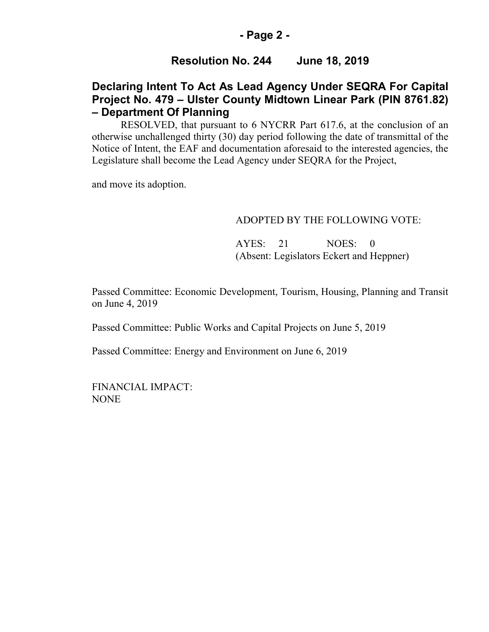### **- Page 2 -**

## **Resolution No. 244 June 18, 2019**

## **Declaring Intent To Act As Lead Agency Under SEQRA For Capital Project No. 479 – Ulster County Midtown Linear Park (PIN 8761.82) – Department Of Planning**

RESOLVED, that pursuant to 6 NYCRR Part 617.6, at the conclusion of an otherwise unchallenged thirty (30) day period following the date of transmittal of the Notice of Intent, the EAF and documentation aforesaid to the interested agencies, the Legislature shall become the Lead Agency under SEQRA for the Project,

and move its adoption.

#### ADOPTED BY THE FOLLOWING VOTE:

AYES: 21 NOES: 0 (Absent: Legislators Eckert and Heppner)

Passed Committee: Economic Development, Tourism, Housing, Planning and Transit on June 4, 2019

Passed Committee: Public Works and Capital Projects on June 5, 2019

Passed Committee: Energy and Environment on June 6, 2019

FINANCIAL IMPACT: NONE